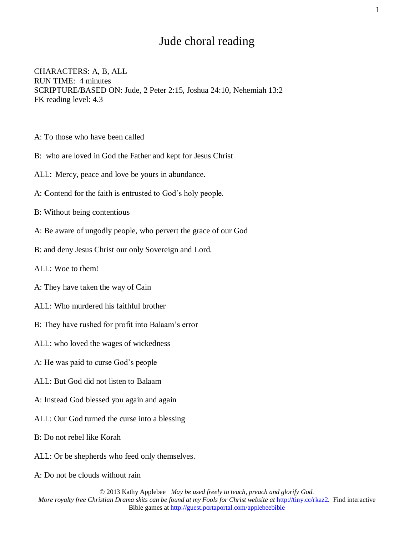## Jude choral reading

CHARACTERS: A, B, ALL RUN TIME: 4 minutes SCRIPTURE/BASED ON: Jude, 2 Peter 2:15, Joshua 24:10, Nehemiah 13:2 FK reading level: 4.3

- A: To those who have been called
- B: who are loved in God the Father and kept for Jesus Christ
- ALL: Mercy, peace and love be yours in abundance.
- A: **C**ontend for the faith is entrusted to God's holy people.
- B: Without being contentious
- A: Be aware of ungodly people, who pervert the grace of our God
- B: and deny Jesus Christ our only Sovereign and Lord.
- ALL: Woe to them!
- A: They have taken the way of Cain
- ALL: Who murdered his faithful brother
- B: They have rushed for profit into Balaam's error
- ALL: who loved the wages of wickedness
- A: He was paid to curse God's people
- ALL: But God did not listen to Balaam
- A: Instead God blessed you again and again
- ALL: Our God turned the curse into a blessing
- B: Do not rebel like Korah
- ALL: Or be shepherds who feed only themselves.
- A: Do not be clouds without rain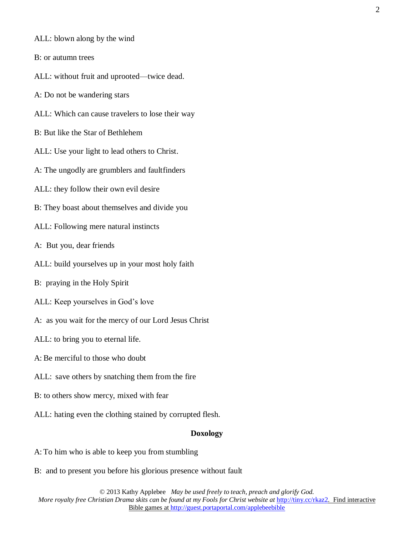- ALL: blown along by the wind
- B: or autumn trees
- ALL: without fruit and uprooted—twice dead.
- A: Do not be wandering stars
- ALL: Which can cause travelers to lose their way
- B: But like the Star of Bethlehem
- ALL: Use your light to lead others to Christ.
- A: The ungodly are grumblers and faultfinders
- ALL: they follow their own evil desire
- B: They boast about themselves and divide you
- ALL: Following mere natural instincts
- A: But you, dear friends
- ALL: build yourselves up in your most holy faith
- B: praying in the Holy Spirit
- ALL: Keep yourselves in God's love
- A: as you wait for the mercy of our Lord Jesus Christ
- ALL: to bring you to eternal life.
- A: Be merciful to those who doubt
- ALL: save others by snatching them from the fire
- B: to others show mercy, mixed with fear
- ALL: hating even the clothing stained by corrupted flesh.

## **Doxology**

- A: To him who is able to keep you from stumbling
- B: and to present you before his glorious presence without fault